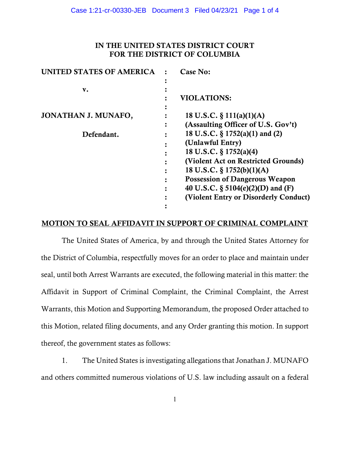# IN THE UNITED STATES DISTRICT COURT FOR THE DISTRICT OF COLUMBIA

| UNITED STATES OF AMERICA | Case No:                              |
|--------------------------|---------------------------------------|
|                          |                                       |
| v.                       |                                       |
|                          | <b>VIOLATIONS:</b>                    |
|                          |                                       |
| JONATHAN J. MUNAFO,      | 18 U.S.C. $\S$ 111(a)(1)(A)           |
|                          | (Assaulting Officer of U.S. Gov't)    |
| Defendant.               | 18 U.S.C. § 1752(a)(1) and (2)        |
|                          | (Unlawful Entry)                      |
|                          | 18 U.S.C. § 1752(a)(4)                |
|                          | (Violent Act on Restricted Grounds)   |
|                          | 18 U.S.C. $\S 1752(b)(1)(A)$          |
|                          | <b>Possession of Dangerous Weapon</b> |
|                          | 40 U.S.C. § 5104(e)(2)(D) and (F)     |
|                          | (Violent Entry or Disorderly Conduct) |
|                          |                                       |

## MOTION TO SEAL AFFIDAVIT IN SUPPORT OF CRIMINAL COMPLAINT

The United States of America, by and through the United States Attorney for the District of Columbia, respectfully moves for an order to place and maintain under seal, until both Arrest Warrants are executed, the following material in this matter: the Affidavit in Support of Criminal Complaint, the Criminal Complaint, the Arrest Warrants, this Motion and Supporting Memorandum, the proposed Order attached to this Motion, related filing documents, and any Order granting this motion. In support thereof, the government states as follows:

1. The United States is investigating allegations that Jonathan J. MUNAFO and others committed numerous violations of U.S. law including assault on a federal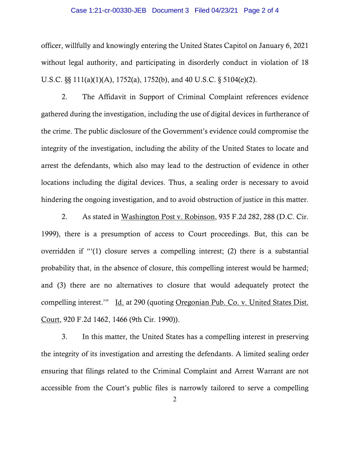#### Case 1:21-cr-00330-JEB Document 3 Filed 04/23/21 Page 2 of 4

officer, willfully and knowingly entering the United States Capitol on January 6, 2021 without legal authority, and participating in disorderly conduct in violation of 18 U.S.C. §§ 111(a)(1)(A), 1752(a), 1752(b), and 40 U.S.C. § 5104(e)(2).

2. The Affidavit in Support of Criminal Complaint references evidence gathered during the investigation, including the use of digital devices in furtherance of the crime. The public disclosure of the Government's evidence could compromise the integrity of the investigation, including the ability of the United States to locate and arrest the defendants, which also may lead to the destruction of evidence in other locations including the digital devices. Thus, a sealing order is necessary to avoid hindering the ongoing investigation, and to avoid obstruction of justice in this matter.

2. As stated in Washington Post v. Robinson, 935 F.2d 282, 288 (D.C. Cir. 1999), there is a presumption of access to Court proceedings. But, this can be overridden if "'(1) closure serves a compelling interest; (2) there is a substantial probability that, in the absence of closure, this compelling interest would be harmed; and (3) there are no alternatives to closure that would adequately protect the compelling interest.'" Id. at 290 (quoting Oregonian Pub. Co. v. United States Dist. Court, 920 F.2d 1462, 1466 (9th Cir. 1990)).

3. In this matter, the United States has a compelling interest in preserving the integrity of its investigation and arresting the defendants. A limited sealing order ensuring that filings related to the Criminal Complaint and Arrest Warrant are not accessible from the Court's public files is narrowly tailored to serve a compelling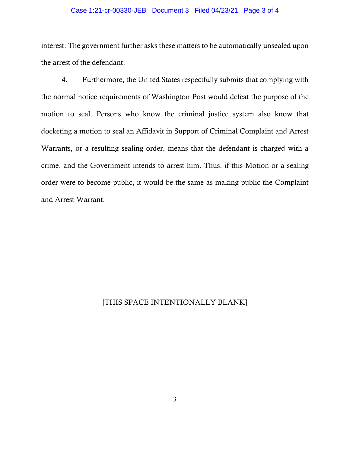#### Case 1:21-cr-00330-JEB Document 3 Filed 04/23/21 Page 3 of 4

interest. The government further asks these matters to be automatically unsealed upon the arrest of the defendant.

4. Furthermore, the United States respectfully submits that complying with the normal notice requirements of Washington Post would defeat the purpose of the motion to seal. Persons who know the criminal justice system also know that docketing a motion to seal an Affidavit in Support of Criminal Complaint and Arrest Warrants, or a resulting sealing order, means that the defendant is charged with a crime, and the Government intends to arrest him. Thus, if this Motion or a sealing order were to become public, it would be the same as making public the Complaint and Arrest Warrant.

# [THIS SPACE INTENTIONALLY BLANK]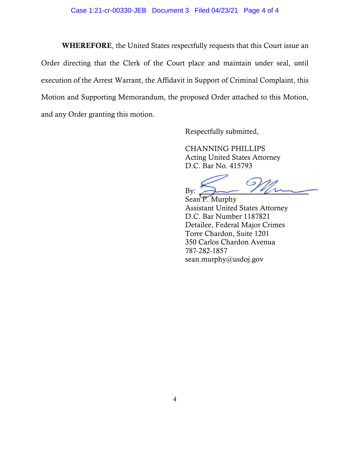WHEREFORE, the United States respectfully requests that this Court issue an Order directing that the Clerk of the Court place and maintain under seal, until execution of the Arrest Warrant, the Affidavit in Support of Criminal Complaint, this Motion and Supporting Memorandum, the proposed Order attached to this Motion, and any Order granting this motion.

Respectfully submitted,

CHANNING PHILLIPS Acting United States Attorney D.C. Bar No. 415793

By:

Sean P. Murphy Assistant United States Attorney D.C. Bar Number 1187821 Detailee, Federal Major Crimes Torre Chardon, Suite 1201 350 Carlos Chardon Avenua 787-282-1857 sean.murphy@usdoj.gov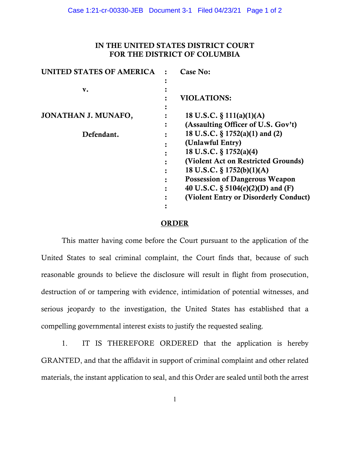# IN THE UNITED STATES DISTRICT COURT FOR THE DISTRICT OF COLUMBIA

| UNITED STATES OF AMERICA | Case No:                              |
|--------------------------|---------------------------------------|
|                          |                                       |
| v.                       |                                       |
|                          | <b>VIOLATIONS:</b>                    |
|                          |                                       |
| JONATHAN J. MUNAFO,      | 18 U.S.C. $\S$ 111(a)(1)(A)           |
|                          | (Assaulting Officer of U.S. Gov't)    |
| Defendant.               | 18 U.S.C. § 1752(a)(1) and (2)        |
|                          | (Unlawful Entry)                      |
|                          | 18 U.S.C. § 1752(a)(4)                |
|                          | (Violent Act on Restricted Grounds)   |
|                          | 18 U.S.C. $\S 1752(b)(1)(A)$          |
|                          | <b>Possession of Dangerous Weapon</b> |
|                          | 40 U.S.C. § $5104(e)(2)$ (D) and (F)  |
|                          | (Violent Entry or Disorderly Conduct) |
|                          |                                       |

### ORDER

This matter having come before the Court pursuant to the application of the United States to seal criminal complaint, the Court finds that, because of such reasonable grounds to believe the disclosure will result in flight from prosecution, destruction of or tampering with evidence, intimidation of potential witnesses, and serious jeopardy to the investigation, the United States has established that a compelling governmental interest exists to justify the requested sealing.

1. IT IS THEREFORE ORDERED that the application is hereby GRANTED, and that the affidavit in support of criminal complaint and other related materials, the instant application to seal, and this Order are sealed until both the arrest